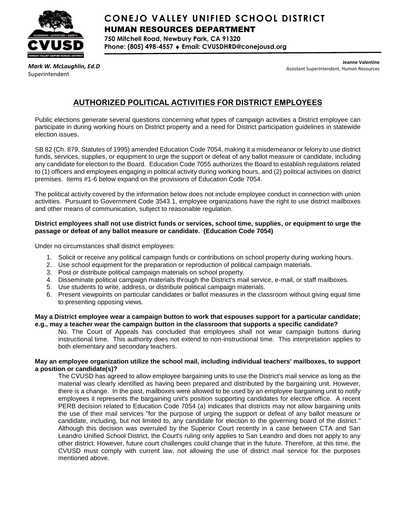

# **CONEJO VALLEY UNIFIED SCHOOL DISTRICT** HUMAN RESOURCES DEPARTMENT

**750 Mitchell Road, Newbury Park, CA 91320 Phone: (805) 498-4557 Email: CVUSDHRD@conejousd.org**

*Mark W. McLaughlin, Ed.D* Superintendent

**Jeanne Valentine** Assistant Superintendent, Human Resources

# **AUTHORIZED POLITICAL ACTIVITIES FOR DISTRICT EMPLOYEES**

Public elections generate several questions concerning what types of campaign activities a District employee can participate in during working hours on District property and a need for District participation guidelines in statewide election issues.

SB 82 (Ch. 879, Statutes of 1995) amended Education Code 7054, making it a misdemeanor or felony to use district funds, services, supplies, or equipment to urge the support or defeat of any ballot measure or candidate, including any candidate for election to the Board. Education Code 7055 authorizes the Board to establish regulations related to (1) officers and employees engaging in political activity during working hours, and (2) political activities on district premises. Items #1-6 below expand on the provisions of Education Code 7054.

The political activity covered by the information below does not include employee conduct in connection with union activities. Pursuant to Government Code 3543.1, employee organizations have the right to use district mailboxes and other means of communication, subject to reasonable regulation.

## **District employees shall not use district funds or services, school time, supplies, or equipment to urge the passage or defeat of any ballot measure or candidate. (Education Code 7054)**

Under no circumstances shall district employees:

- 1. Solicit or receive any political campaign funds or contributions on school property during working hours.
- 2. Use school equipment for the preparation or reproduction of political campaign materials.
- 3. Post or distribute political campaign materials on school property.
- 4. Disseminate political campaign materials through the District's mail service, e-mail, or staff mailboxes.
- 5. Use students to write, address, or distribute political campaign materials.
- 6. Present viewpoints on particular candidates or ballot measures in the classroom without giving equal time to presenting opposing views.

## **May a District employee wear a campaign button to work that espouses support for a particular candidate; e.g., may a teacher wear the campaign button in the classroom that supports a specific candidate?**

No. The Court of Appeals has concluded that employees shall not wear campaign buttons during instructional time. This authority does not extend to non-instructional time. This interpretation applies to both elementary and secondary teachers.

## **May an employee organization utilize the school mail, including individual teachers' mailboxes, to support a position or candidate(s)?**

The CVUSD has agreed to allow employee bargaining units to use the District's mail service as long as the material was clearly identified as having been prepared and distributed by the bargaining unit. However, there is a change. In the past, mailboxes were allowed to be used by an employee bargaining unit to notify employees it represents the bargaining unit's position supporting candidates for elective office. A recent PERB decision related to Education Code 7054 (a) indicates that districts may not allow bargaining units the use of their mail services "for the purpose of urging the support or defeat of any ballot measure or candidate, including, but not limited to, any candidate for election to the governing board of the district." Although this decision was overruled by the Superior Court recently in a case between CTA and San Leandro Unified School District, the Court's ruling only applies to San Leandro and does not apply to any other district. However, future court challenges could change that in the future. Therefore, at this time, the CVUSD must comply with current law, not allowing the use of district mail service for the purposes mentioned above.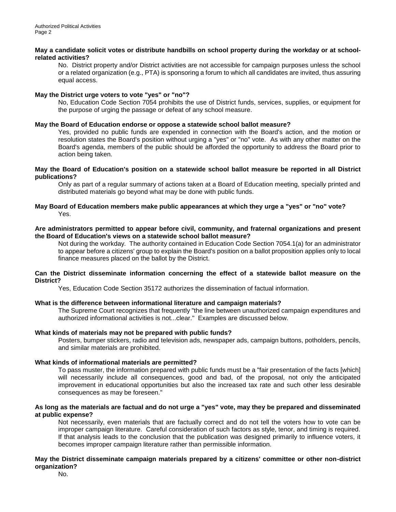#### **May a candidate solicit votes or distribute handbills on school property during the workday or at schoolrelated activities?**

No. District property and/or District activities are not accessible for campaign purposes unless the school or a related organization (e.g., PTA) is sponsoring a forum to which all candidates are invited, thus assuring equal access.

## **May the District urge voters to vote "yes" or "no"?**

No, Education Code Section 7054 prohibits the use of District funds, services, supplies, or equipment for the purpose of urging the passage or defeat of any school measure.

## **May the Board of Education endorse or oppose a statewide school ballot measure?**

Yes, provided no public funds are expended in connection with the Board's action, and the motion or resolution states the Board's position without urging a "yes" or "no" vote. As with any other matter on the Board's agenda, members of the public should be afforded the opportunity to address the Board prior to action being taken.

#### **May the Board of Education's position on a statewide school ballot measure be reported in all District publications?**

Only as part of a regular summary of actions taken at a Board of Education meeting, specially printed and distributed materials go beyond what may be done with public funds.

## **May Board of Education members make public appearances at which they urge a "yes" or "no" vote?**  Yes.

## **Are administrators permitted to appear before civil, community, and fraternal organizations and present the Board of Education's views on a statewide school ballot measure?**

Not during the workday. The authority contained in Education Code Section 7054.1(a) for an administrator to appear before a citizens' group to explain the Board's position on a ballot proposition applies only to local finance measures placed on the ballot by the District.

#### **Can the District disseminate information concerning the effect of a statewide ballot measure on the District?**

Yes, Education Code Section 35172 authorizes the dissemination of factual information.

## **What is the difference between informational literature and campaign materials?**

The Supreme Court recognizes that frequently "the line between unauthorized campaign expenditures and authorized informational activities is not...clear." Examples are discussed below.

## **What kinds of materials may not be prepared with public funds?**

Posters, bumper stickers, radio and television ads, newspaper ads, campaign buttons, potholders, pencils, and similar materials are prohibited.

## **What kinds of informational materials are permitted?**

To pass muster, the information prepared with public funds must be a "fair presentation of the facts [which] will necessarily include all consequences, good and bad, of the proposal, not only the anticipated improvement in educational opportunities but also the increased tax rate and such other less desirable consequences as may be foreseen."

## **As long as the materials are factual and do not urge a "yes" vote, may they be prepared and disseminated at public expense?**

Not necessarily, even materials that are factually correct and do not tell the voters how to vote can be improper campaign literature. Careful consideration of such factors as style, tenor, and timing is required. If that analysis leads to the conclusion that the publication was designed primarily to influence voters, it becomes improper campaign literature rather than permissible information.

## **May the District disseminate campaign materials prepared by a citizens' committee or other non-district organization?**

No.